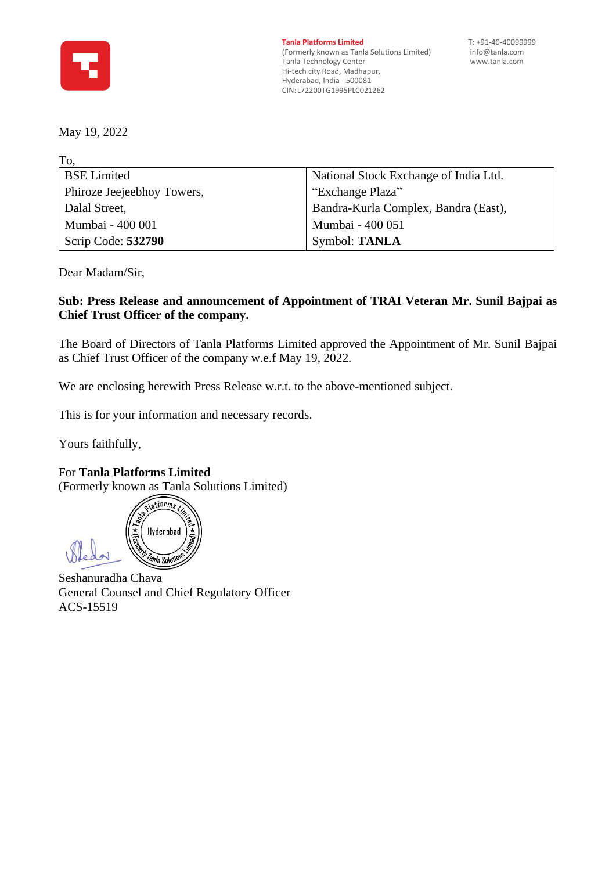

**Tanla Platforms Limited** T: +91-40-40099999<br>(Formerly known as Tanla Solutions Limited) info@tanla.com (Formerly known as Tanla Solutions Limited) [info@tanla.com](mailto:info@tanla.com)<br>Tanla Technology Center info@tanla.com Tanla Technology Center Hi-tech city Road, Madhapur, Hyderabad, India - 500081 CIN: L72200TG1995PLC021262

May 19, 2022

| National Stock Exchange of India Ltd. |
|---------------------------------------|
| "Exchange Plaza"                      |
| Bandra-Kurla Complex, Bandra (East),  |
| Mumbai - 400 051                      |
| Symbol: TANLA                         |
|                                       |

Dear Madam/Sir,

## **Sub: Press Release and announcement of Appointment of TRAI Veteran Mr. Sunil Bajpai as Chief Trust Officer of the company.**

The Board of Directors of Tanla Platforms Limited approved the Appointment of Mr. Sunil Bajpai as Chief Trust Officer of the company w.e.f May 19, 2022.

We are enclosing herewith Press Release w.r.t. to the above-mentioned subject.

This is for your information and necessary records.

Yours faithfully,

For **Tanla Platforms Limited** (Formerly known as Tanla Solutions Limited)

olationms Hyderabad n/a Solut

Seshanuradha Chava General Counsel and Chief Regulatory Officer ACS-15519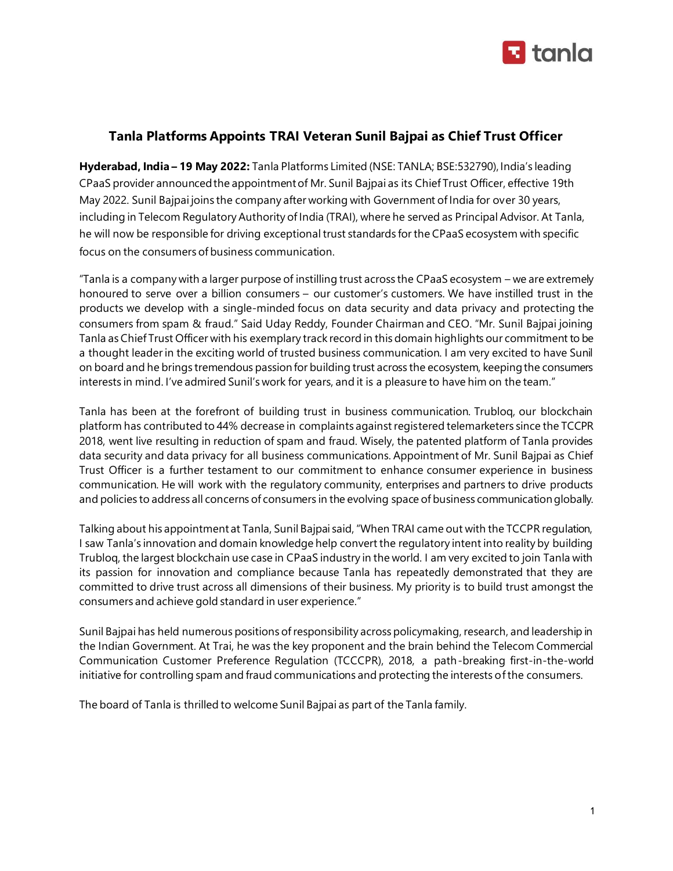

## **Tanla Platforms Appoints TRAI Veteran Sunil Bajpai as Chief Trust Officer**

**Hyderabad, India – 19 May 2022:** Tanla Platforms Limited (NSE: TANLA; BSE:532790), India's leading CPaaS provider announced the appointment of Mr. Sunil Bajpai as its Chief Trust Officer, effective 19th May 2022. Sunil Bajpai joins the company after working with Government of India for over 30 years, including in Telecom Regulatory Authority of India (TRAI), where he served as Principal Advisor. At Tanla, he will now be responsible for driving exceptional trust standards for the CPaaS ecosystem with specific focus on the consumers of business communication.

"Tanla is a company with a larger purpose of instilling trust across the CPaaS ecosystem – we are extremely honoured to serve over a billion consumers – our customer's customers. We have instilled trust in the products we develop with a single-minded focus on data security and data privacy and protecting the consumers from spam & fraud." Said Uday Reddy, Founder Chairman and CEO. "Mr. Sunil Bajpai joining Tanla as Chief Trust Officer with his exemplary track record in this domain highlights our commitment to be a thought leader in the exciting world of trusted business communication. I am very excited to have Sunil on board and he brings tremendous passion for building trust across the ecosystem, keeping the consumers interests in mind. I've admired Sunil's work for years, and it is a pleasure to have him on the team."

Tanla has been at the forefront of building trust in business communication. Trubloq, our blockchain platform has contributed to 44% decrease in complaints against registered telemarketers since the TCCPR 2018, went live resulting in reduction of spam and fraud. Wisely, the patented platform of Tanla provides data security and data privacy for all business communications. Appointment of Mr. Sunil Bajpai as Chief Trust Officer is a further testament to our commitment to enhance consumer experience in business communication. He will work with the regulatory community, enterprises and partners to drive products and policies to address all concerns of consumers in the evolving space of business communication globally.

Talking about his appointment at Tanla, Sunil Bajpai said, "When TRAI came out with the TCCPR regulation, I saw Tanla's innovation and domain knowledge help convert the regulatory intent into reality by building Trubloq, the largest blockchain use case in CPaaS industry in the world. I am very excited to join Tanla with its passion for innovation and compliance because Tanla has repeatedly demonstrated that they are committed to drive trust across all dimensions of their business. My priority is to build trust amongst the consumers and achieve gold standard in user experience."

Sunil Bajpai has held numerous positions of responsibility across policymaking, research, and leadership in the Indian Government. At Trai, he was the key proponent and the brain behind the Telecom Commercial Communication Customer Preference Regulation (TCCCPR), 2018, a path-breaking first-in-the-world initiative for controlling spam and fraud communications and protecting the interests of the consumers.

The board of Tanla is thrilled to welcome Sunil Bajpai as part of the Tanla family.